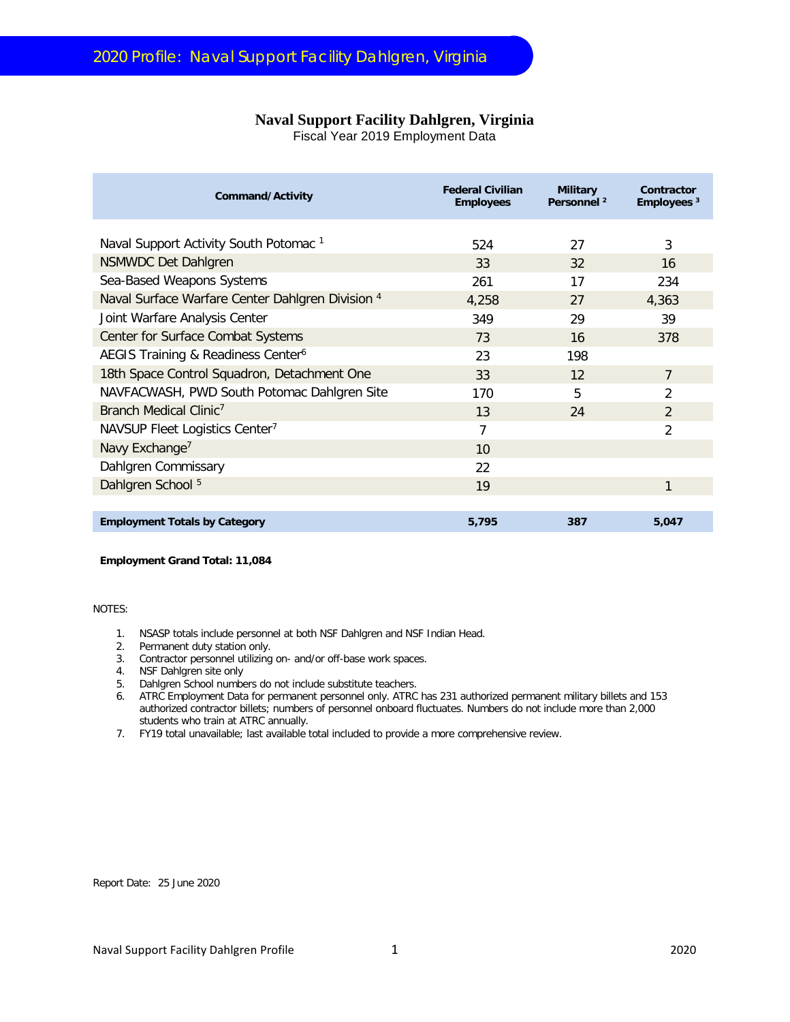## **Naval Support Facility Dahlgren, Virginia**

Fiscal Year 2019 Employment Data

| Command/Activity                                  | <b>Federal Civilian</b><br><b>Employees</b> | <b>Military</b><br>Personnel <sup>2</sup> | Contractor<br>Employees <sup>3</sup> |
|---------------------------------------------------|---------------------------------------------|-------------------------------------------|--------------------------------------|
| Naval Support Activity South Potomac <sup>1</sup> | 524                                         | 27                                        | 3                                    |
| <b>NSMWDC Det Dahlgren</b>                        | 33                                          | 32                                        | 16                                   |
| Sea-Based Weapons Systems                         | 261                                         | 17                                        | 234                                  |
| Naval Surface Warfare Center Dahlgren Division 4  | 4,258                                       | 27                                        | 4,363                                |
| Joint Warfare Analysis Center                     | 349                                         | 29                                        | 39                                   |
| Center for Surface Combat Systems                 | 73                                          | 16                                        | 378                                  |
| AEGIS Training & Readiness Center <sup>6</sup>    | 23                                          | 198                                       |                                      |
| 18th Space Control Squadron, Detachment One       | 33                                          | 12                                        | $\overline{7}$                       |
| NAVFACWASH, PWD South Potomac Dahlgren Site       | 170                                         | 5                                         | $\overline{2}$                       |
| Branch Medical Clinic <sup>7</sup>                | 13                                          | 24                                        | 2                                    |
| NAVSUP Fleet Logistics Center <sup>7</sup>        | 7                                           |                                           | $\overline{2}$                       |
| Navy Exchange <sup>7</sup>                        | 10                                          |                                           |                                      |
| Dahlgren Commissary                               | 22                                          |                                           |                                      |
| Dahlgren School <sup>5</sup>                      | 19                                          |                                           | 1                                    |
|                                                   |                                             |                                           |                                      |
| <b>Employment Totals by Category</b>              | 5,795                                       | 387                                       | 5,047                                |

**Employment Grand Total: 11,084**

NOTES:

- 1. NSASP totals include personnel at both NSF Dahlgren and NSF Indian Head.
- 2. Permanent duty station only.
- 3. Contractor personnel utilizing on- and/or off-base work spaces.
- 4. NSF Dahlgren site only
- 5. Dahlgren School numbers do not include substitute teachers.
- 6. ATRC Employment Data for permanent personnel only. ATRC has 231 authorized permanent military billets and 153 authorized contractor billets; numbers of personnel onboard fluctuates. Numbers do not include more than 2,000 students who train at ATRC annually.
- 7. FY19 total unavailable; last available total included to provide a more comprehensive review.

Report Date: 25 June 2020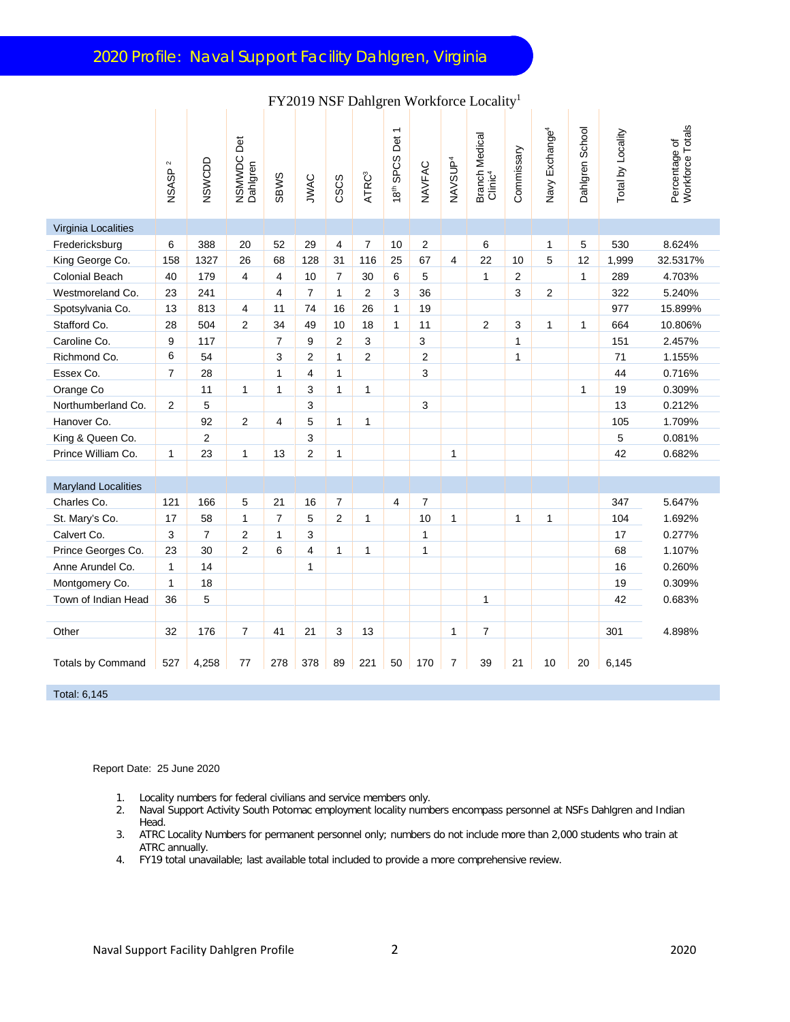| <b>FY2019 NSF Danigren Workforce Locality</b> |                                    |                |                             |                |                |                |                   |                                                       |                |                     |                                       |                |                            |                 |                   |                                   |
|-----------------------------------------------|------------------------------------|----------------|-----------------------------|----------------|----------------|----------------|-------------------|-------------------------------------------------------|----------------|---------------------|---------------------------------------|----------------|----------------------------|-----------------|-------------------|-----------------------------------|
|                                               | $\scriptstyle\sim$<br><b>NSASP</b> | NSWCDD         | Det<br>NSMWDC I<br>Dahlgren | <b>SBWS</b>    | JWAC           | CSCS           | ATRC <sup>3</sup> | $\overline{\phantom{0}}$<br>18 <sup>th</sup> SPCS Det | NAVFAC         | NAVSUP <sup>4</sup> | Branch Medical<br>Clinic <sup>4</sup> | Commissary     | Navy Exchange <sup>4</sup> | Dahlgren School | Total by Locality | Percentage of<br>Workforce Totals |
| Virginia Localities                           |                                    |                |                             |                |                |                |                   |                                                       |                |                     |                                       |                |                            |                 |                   |                                   |
| Fredericksburg                                | 6                                  | 388            | 20                          | 52             | 29             | 4              | $\overline{7}$    | 10                                                    | 2              |                     | 6                                     |                | 1                          | 5               | 530               | 8.624%                            |
| King George Co.                               | 158                                | 1327           | 26                          | 68             | 128            | 31             | 116               | 25                                                    | 67             | 4                   | 22                                    | 10             | 5                          | 12              | 1,999             | 32.5317%                          |
| <b>Colonial Beach</b>                         | 40                                 | 179            | 4                           | $\overline{4}$ | 10             | $\overline{7}$ | 30                | 6                                                     | 5              |                     | $\mathbf{1}$                          | $\overline{2}$ |                            | $\mathbf{1}$    | 289               | 4.703%                            |
| Westmoreland Co.                              | 23                                 | 241            |                             | $\overline{4}$ | $\overline{7}$ | $\mathbf{1}$   | 2                 | 3                                                     | 36             |                     |                                       | 3              | $\overline{2}$             |                 | 322               | 5.240%                            |
| Spotsylvania Co.                              | 13                                 | 813            | 4                           | 11             | 74             | 16             | 26                | $\mathbf{1}$                                          | 19             |                     |                                       |                |                            |                 | 977               | 15.899%                           |
| Stafford Co.                                  | 28                                 | 504            | $\overline{2}$              | 34             | 49             | 10             | 18                | $\mathbf{1}$                                          | 11             |                     | $\overline{2}$                        | 3              | $\mathbf{1}$               | 1               | 664               | 10.806%                           |
| Caroline Co.                                  | 9                                  | 117            |                             | 7              | 9              | 2              | 3                 |                                                       | 3              |                     |                                       | $\mathbf{1}$   |                            |                 | 151               | 2.457%                            |
| Richmond Co.                                  | 6                                  | 54             |                             | 3              | $\overline{2}$ | $\mathbf{1}$   | 2                 |                                                       | $\overline{2}$ |                     |                                       | $\mathbf{1}$   |                            |                 | 71                | 1.155%                            |
| Essex Co.                                     | $\overline{7}$                     | 28             |                             | 1              | $\overline{4}$ | $\mathbf{1}$   |                   |                                                       | 3              |                     |                                       |                |                            |                 | 44                | 0.716%                            |
| Orange Co                                     |                                    | 11             | 1                           | 1              | 3              | $\mathbf{1}$   | $\mathbf{1}$      |                                                       |                |                     |                                       |                |                            | $\mathbf{1}$    | 19                | 0.309%                            |
| Northumberland Co.                            | $\overline{2}$                     | 5              |                             |                | 3              |                |                   |                                                       | 3              |                     |                                       |                |                            |                 | 13                | 0.212%                            |
| Hanover Co.                                   |                                    | 92             | 2                           | 4              | 5              | 1              | $\mathbf{1}$      |                                                       |                |                     |                                       |                |                            |                 | 105               | 1.709%                            |
| King & Queen Co.                              |                                    | $\overline{2}$ |                             |                | 3              |                |                   |                                                       |                |                     |                                       |                |                            |                 | 5                 | 0.081%                            |
| Prince William Co.                            | 1                                  | 23             | $\mathbf{1}$                | 13             | $\overline{2}$ | $\mathbf{1}$   |                   |                                                       |                | $\mathbf{1}$        |                                       |                |                            |                 | 42                | 0.682%                            |
|                                               |                                    |                |                             |                |                |                |                   |                                                       |                |                     |                                       |                |                            |                 |                   |                                   |
| <b>Maryland Localities</b>                    |                                    |                |                             |                |                |                |                   |                                                       |                |                     |                                       |                |                            |                 |                   |                                   |
| Charles Co.                                   | 121                                | 166            | 5                           | 21             | 16             | $\overline{7}$ |                   | 4                                                     | 7              |                     |                                       |                |                            |                 | 347               | 5.647%                            |
| St. Mary's Co.                                | 17                                 | 58             | 1                           | $\overline{7}$ | 5              | 2              | $\mathbf{1}$      |                                                       | 10             | $\mathbf{1}$        |                                       | $\mathbf{1}$   | $\mathbf{1}$               |                 | 104               | 1.692%                            |
| Calvert Co.                                   | 3                                  | $\overline{7}$ | $\overline{2}$              | $\mathbf{1}$   | 3              |                |                   |                                                       | 1              |                     |                                       |                |                            |                 | 17                | 0.277%                            |
| Prince Georges Co.                            | 23                                 | 30             | $\overline{2}$              | 6              | $\overline{4}$ | $\mathbf{1}$   | $\mathbf{1}$      |                                                       | $\mathbf{1}$   |                     |                                       |                |                            |                 | 68                | 1.107%                            |
| Anne Arundel Co.                              | 1                                  | 14             |                             |                | 1              |                |                   |                                                       |                |                     |                                       |                |                            |                 | 16                | 0.260%                            |
| Montgomery Co.                                | $\mathbf{1}$                       | 18             |                             |                |                |                |                   |                                                       |                |                     |                                       |                |                            |                 | 19                | 0.309%                            |
| Town of Indian Head                           | 36                                 | 5              |                             |                |                |                |                   |                                                       |                |                     | $\mathbf{1}$                          |                |                            |                 | 42                | 0.683%                            |
|                                               |                                    |                |                             |                |                |                |                   |                                                       |                |                     |                                       |                |                            |                 |                   |                                   |
| Other                                         | 32                                 | 176            | $\overline{7}$              | 41             | 21             | 3              | 13                |                                                       |                | $\mathbf{1}$        | $\overline{7}$                        |                |                            |                 | 301               | 4.898%                            |
| Totals by Command                             | 527                                | 4,258          | 77                          | 278            | 378            | 89             | 221               | 50                                                    | 170            | 7                   | 39                                    | 21             | 10                         | 20              | 6,145             |                                   |

 $FX2010$   $NSE$   $D_111$  and  $W_2$  al-force  $L_1$  and  $T_2$ 

Total: 6,145

Report Date: 25 June 2020

- 1. Locality numbers for federal civilians and service members only.<br>2. Naval Support Activity South Potomac employment locality numb
- 2. Naval Support Activity South Potomac employment locality numbers encompass personnel at NSFs Dahlgren and Indian Head.
- 3. ATRC Locality Numbers for permanent personnel only; numbers do not include more than 2,000 students who train at ATRC annually.
- 4. FY19 total unavailable; last available total included to provide a more comprehensive review.